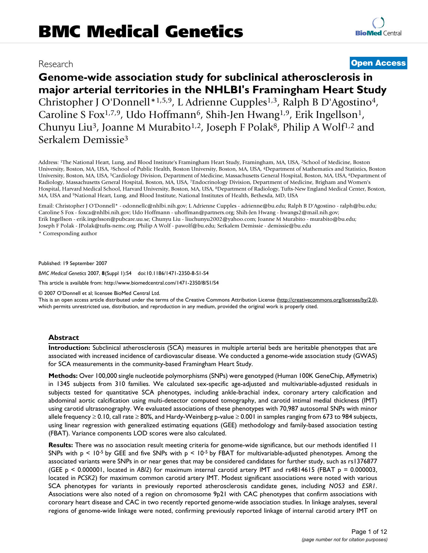# Research **[Open Access](http://www.biomedcentral.com/info/about/charter/)**

**Genome-wide association study for subclinical atherosclerosis in major arterial territories in the NHLBI's Framingham Heart Study** Christopher J O'Donnell\*1,5,9, L Adrienne Cupples1,3, Ralph B D'Agostino4, Caroline S Fox<sup>1,7,9</sup>, Udo Hoffmann<sup>6</sup>, Shih-Jen Hwang<sup>1,9</sup>, Erik Ingellson<sup>1</sup>, Chunyu Liu<sup>3</sup>, Joanne M Murabito<sup>1,2</sup>, Joseph F Polak<sup>8</sup>, Philip A Wolf<sup>1,2</sup> and Serkalem Demissie3

Address: 1The National Heart, Lung, and Blood Institute's Framingham Heart Study, Framingham, MA, USA, 2School of Medicine, Boston University, Boston, MA, USA, 3School of Public Health, Boston University, Boston, MA, USA, 4Department of Mathematics and Statistics, Boston University, Boston, MA, USA, 5Cardiology Division, Department of Medicine, Massachusetts General Hospital, Boston, MA, USA, 6Department of Radiology, Massachusetts General Hospital, Boston, MA, USA, 7Endocrinology Division, Department of Medicine, Brigham and Women's Hospital, Harvard Medical School, Harvard University, Boston, MA, USA, 8Department of Radiology, Tufts-New England Medical Center, Boston, MA, USA and 9National Heart, Lung, and Blood Institute, National Institutes of Health, Bethesda, MD, USA

Email: Christopher J O'Donnell\* - odonnellc@nhlbi.nih.gov; L Adrienne Cupples - adrienne@bu.edu; Ralph B D'Agostino - ralph@bu.edu; Caroline S Fox - foxca@nhlbi.nih.gov; Udo Hoffmann - uhoffman@partners.org; Shih-Jen Hwang - hwangs2@mail.nih.gov; Erik Ingellson - erik.ingelsson@pubcare.uu.se; Chunyu Liu - liuchunyu2002@yahoo.com; Joanne M Murabito - murabito@bu.edu; Joseph F Polak - JPolak@tufts-nemc.org; Philip A Wolf - pawolf@bu.edu; Serkalem Demissie - demissie@bu.edu

\* Corresponding author

Published: 19 September 2007

*BMC Medical Genetics* 2007, **8**(Suppl 1):S4 doi:10.1186/1471-2350-8-S1-S4

[This article is available from: http://www.biomedcentral.com/1471-2350/8/S1/S4](http://www.biomedcentral.com/1471-2350/8/S1/S4)

© 2007 O'Donnell et al; licensee BioMed Central Ltd.

This is an open access article distributed under the terms of the Creative Commons Attribution License [\(http://creativecommons.org/licenses/by/2.0\)](http://creativecommons.org/licenses/by/2.0), which permits unrestricted use, distribution, and reproduction in any medium, provided the original work is properly cited.

#### **Abstract**

**Introduction:** Subclinical atherosclerosis (SCA) measures in multiple arterial beds are heritable phenotypes that are associated with increased incidence of cardiovascular disease. We conducted a genome-wide association study (GWAS) for SCA measurements in the community-based Framingham Heart Study.

**Methods:** Over 100,000 single nucleotide polymorphisms (SNPs) were genotyped (Human 100K GeneChip, Affymetrix) in 1345 subjects from 310 families. We calculated sex-specific age-adjusted and multivariable-adjusted residuals in subjects tested for quantitative SCA phenotypes, including ankle-brachial index, coronary artery calcification and abdominal aortic calcification using multi-detector computed tomography, and carotid intimal medial thickness (IMT) using carotid ultrasonography. We evaluated associations of these phenotypes with 70,987 autosomal SNPs with minor allele frequency ≥ 0.10, call rate ≥ 80%, and Hardy-Weinberg p-value ≥ 0.001 in samples ranging from 673 to 984 subjects, using linear regression with generalized estimating equations (GEE) methodology and family-based association testing (FBAT). Variance components LOD scores were also calculated.

**Results:** There was no association result meeting criteria for genome-wide significance, but our methods identified 11 SNPs with  $p \le 10^{-5}$  by GEE and five SNPs with  $p \le 10^{-5}$  by FBAT for multivariable-adjusted phenotypes. Among the associated variants were SNPs in or near genes that may be considered candidates for further study, such as rs1376877 (GEE  $p \le 0.000001$ , located in *ABI2*) for maximum internal carotid artery IMT and rs4814615 (FBAT  $p = 0.000003$ , located in *PCSK2*) for maximum common carotid artery IMT. Modest significant associations were noted with various SCA phenotypes for variants in previously reported atherosclerosis candidate genes, including *NOS3* and *ESR1*. Associations were also noted of a region on chromosome 9p21 with CAC phenotypes that confirm associations with coronary heart disease and CAC in two recently reported genome-wide association studies. In linkage analyses, several regions of genome-wide linkage were noted, confirming previously reported linkage of internal carotid artery IMT on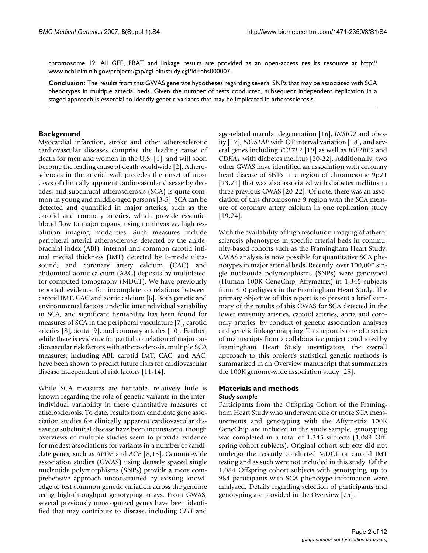chromosome 12. All GEE, FBAT and linkage results are provided as an open-access results resource at [http://](http://www.ncbi.nlm.nih.gov/projects/gap/cgi-bin/study.cgi?id=phs000007) [www.ncbi.nlm.nih.gov/projects/gap/cgi-bin/study.cgi?id=phs000007](http://www.ncbi.nlm.nih.gov/projects/gap/cgi-bin/study.cgi?id=phs000007).

**Conclusion:** The results from this GWAS generate hypotheses regarding several SNPs that may be associated with SCA phenotypes in multiple arterial beds. Given the number of tests conducted, subsequent independent replication in a staged approach is essential to identify genetic variants that may be implicated in atherosclerosis.

#### **Background**

Myocardial infarction, stroke and other atherosclerotic cardiovascular diseases comprise the leading cause of death for men and women in the U.S. [1], and will soon become the leading cause of death worldwide [2]. Atherosclerosis in the arterial wall precedes the onset of most cases of clinically apparent cardiovascular disease by decades, and subclinical atherosclerosis (SCA) is quite common in young and middle-aged persons [3-5]. SCA can be detected and quantified in major arteries, such as the carotid and coronary arteries, which provide essential blood flow to major organs, using noninvasive, high resolution imaging modalities. Such measures include peripheral arterial atherosclerosis detected by the anklebrachial index (ABI); internal and common carotid intimal medial thickness (IMT) detected by B-mode ultrasound; and coronary artery calcium (CAC) and abdominal aortic calcium (AAC) deposits by multidetector computed tomography (MDCT). We have previously reported evidence for incomplete correlations between carotid IMT, CAC and aortic calcium [6]. Both genetic and environmental factors underlie interindividual variability in SCA, and significant heritability has been found for measures of SCA in the peripheral vasculature [7], carotid arteries [8], aorta [9], and coronary arteries [10]. Further, while there is evidence for partial correlation of major cardiovascular risk factors with atherosclerosis, multiple SCA measures, including ABI, carotid IMT, CAC, and AAC, have been shown to predict future risks for cardiovascular disease independent of risk factors [11-14].

While SCA measures are heritable, relatively little is known regarding the role of genetic variants in the interindividual variability in these quantitative measures of atherosclerosis. To date, results from candidate gene association studies for clinically apparent cardiovascular disease or subclinical disease have been inconsistent, though overviews of multiple studies seem to provide evidence for modest associations for variants in a number of candidate genes, such as *APOE* and *ACE* [8,15]. Genome-wide association studies (GWAS) using densely spaced single nucleotide polymorphisms (SNPs) provide a more comprehensive approach unconstrained by existing knowledge to test common genetic variation across the genome using high-throughput genotyping arrays. From GWAS, several previously unrecognized genes have been identified that may contribute to disease, including *CFH* and

age-related macular degeneration [16], *INSIG2* and obesity [17], *NOS1AP* with QT interval variation [18], and several genes including *TCF7L2* [19] as well as *IGF2BP2* and *CDKA1* with diabetes mellitus [20-22]. Additionally, two other GWAS have identified an association with coronary heart disease of SNPs in a region of chromosome 9p21 [23,24] that was also associated with diabetes mellitus in three previous GWAS [20-22]. Of note, there was an association of this chromosome 9 region with the SCA measure of coronary artery calcium in one replication study [19,24].

With the availability of high resolution imaging of atherosclerosis phenotypes in specific arterial beds in community-based cohorts such as the Framingham Heart Study, GWAS analysis is now possible for quantitative SCA phenotypes in major arterial beds. Recently, over 100,000 single nucleotide polymorphisms (SNPs) were genotyped (Human 100K GeneChip, Affymetrix) in 1,345 subjects from 310 pedigrees in the Framingham Heart Study. The primary objective of this report is to present a brief summary of the results of this GWAS for SCA detected in the lower extremity arteries, carotid arteries, aorta and coronary arteries, by conduct of genetic association analyses and genetic linkage mapping. This report is one of a series of manuscripts from a collaborative project conducted by Framingham Heart Study investigators; the overall approach to this project's statistical genetic methods is summarized in an Overview manuscript that summarizes the 100K genome-wide association study [25].

# **Materials and methods**

# *Study sample*

Participants from the Offspring Cohort of the Framingham Heart Study who underwent one or more SCA measurements and genotyping with the Affymetrix 100K GeneChip are included in the study sample; genotyping was completed in a total of 1,345 subjects (1,084 Offspring cohort subjects). Original cohort subjects did not undergo the recently conducted MDCT or carotid IMT testing and as such were not included in this study. Of the 1,084 Offspring cohort subjects with genotyping, up to 984 participants with SCA phenotype information were analyzed. Details regarding selection of participants and genotyping are provided in the Overview [25].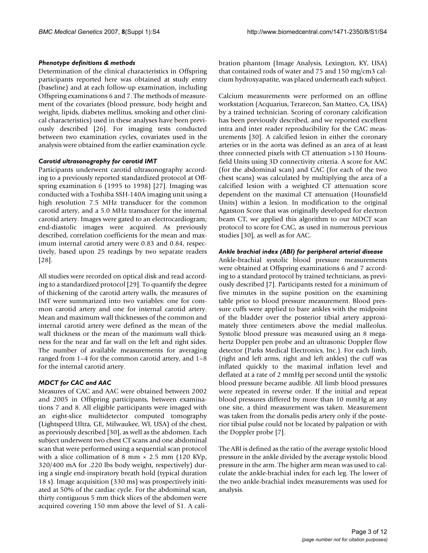#### *Phenotype definitions & methods*

Determination of the clinical characteristics in Offspring participants reported here was obtained at study entry (baseline) and at each follow-up examination, including Offspring examinations 6 and 7. The methods of measurement of the covariates (blood pressure, body height and weight, lipids, diabetes mellitus, smoking and other clinical characteristics) used in these analyses have been previously described [26]. For imaging tests conducted between two examination cycles, covariates used in the analysis were obtained from the earlier examination cycle.

#### *Carotid ultrasonography for carotid IMT*

Participants underwent carotid ultrasonography according to a previously reported standardized protocol at Offspring examination 6 (1995 to 1998) [27]. Imaging was conducted with a Toshiba SSH-140A imaging unit using a high resolution 7.5 MHz transducer for the common carotid artery, and a 5.0 MHz transducer for the internal carotid artery. Images were gated to an electrocardiogram; end-diastolic images were acquired. As previously described, correlation coefficients for the mean and maximum internal carotid artery were 0.83 and 0.84, respectively, based upon 25 readings by two separate readers [28].

All studies were recorded on optical disk and read according to a standardized protocol [29]. To quantify the degree of thickening of the carotid artery walls, the measures of IMT were summarized into two variables: one for common carotid artery and one for internal carotid artery. Mean and maximum wall thicknesses of the common and internal carotid artery were defined as the mean of the wall thickness or the mean of the maximum wall thickness for the near and far wall on the left and right sides. The number of available measurements for averaging ranged from 1–4 for the common carotid artery, and 1–8 for the internal carotid artery.

## *MDCT for CAC and AAC*

Measures of CAC and AAC were obtained between 2002 and 2005 in Offspring participants, between examinations 7 and 8. All eligible participants were imaged with an eight-slice multidetector computed tomography (Lightspeed Ultra, GE, Milwaukee, WI, USA) of the chest, as previously described [30], as well as the abdomen. Each subject underwent two chest CT scans and one abdominal scan that were performed using a sequential scan protocol with a slice collimation of 8 mm  $\times$  2.5 mm (120 KVp, 320/400 mA for .220 lbs body weight, respectively) during a single end-inspiratory breath hold (typical duration 18 s). Image acquisition (330 ms) was prospectively initiated at 50% of the cardiac cycle. For the abdominal scan, thirty contiguous 5 mm thick slices of the abdomen were acquired covering 150 mm above the level of S1. A calibration phantom (Image Analysis, Lexington, KY, USA) that contained rods of water and 75 and 150 mg/cm3 calcium hydroxyapatite, was placed underneath each subject.

Calcium measurements were performed on an offline workstation (Acquarius, Terarecon, San Matteo, CA, USA) by a trained technician. Scoring of coronary calcification has been previously described, and we reported excellent intra and inter reader reproducibility for the CAC measurements [30]. A calcified lesion in either the coronary arteries or in the aorta was defined as an area of at least three connected pixels with CT attenuation >130 Hounsfield Units using 3D connectivity criteria. A score for AAC (for the abdominal scan) and CAC (for each of the two chest scans) was calculated by multiplying the area of a calcified lesion with a weighted CT attenuation score dependent on the maximal CT attenuation (Hounsfield Units) within a lesion. In modification to the original Agatston Score that was originally developed for electron beam CT, we applied this algorithm to our MDCT scan protocol to score for CAC, as used in numerous previous studies [30], as well as for AAC.

#### *Ankle brachial index (ABI) for peripheral arterial disease*

Ankle-brachial systolic blood pressure measurements were obtained at Offspring examinations 6 and 7 according to a standard protocol by trained technicians, as previously described [7]. Participants rested for a minimum of five minutes in the supine position on the examining table prior to blood pressure measurement. Blood pressure cuffs were applied to bare ankles with the midpoint of the bladder over the posterior tibial artery approximately three centimeters above the medial malleolus. Systolic blood pressure was measured using an 8 megahertz Doppler pen probe and an ultrasonic Doppler flow detector (Parks Medical Electronics, Inc.). For each limb, (right and left arms, right and left ankles) the cuff was inflated quickly to the maximal inflation level and deflated at a rate of 2 mmHg per second until the systolic blood pressure became audible. All limb blood pressures were repeated in reverse order. If the initial and repeat blood pressures differed by more than 10 mmHg at any one site, a third measurement was taken. Measurement was taken from the dorsalis pedis artery only if the posterior tibial pulse could not be located by palpation or with the Doppler probe [7].

The ABI is defined as the ratio of the average systolic blood pressure in the ankle divided by the average systolic blood pressure in the arm. The higher arm mean was used to calculate the ankle-brachial index for each leg. The lower of the two ankle-brachial index measurements was used for analysis.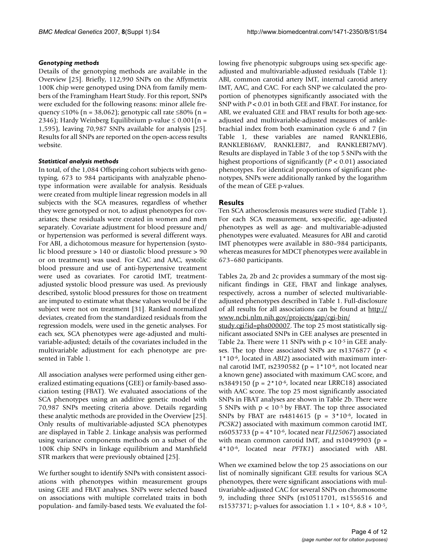#### *Genotyping methods*

Details of the genotyping methods are available in the Overview [25]. Briefly, 112,990 SNPs on the Affymetrix 100K chip were genotyped using DNA from family members of the Framingham Heart Study. For this report, SNPs were excluded for the following reasons: minor allele frequency ≤10% (n = 38,062); genotypic call rate ≤80% (n = 2346); Hardy Weinberg Equilibrium p-value  $\leq 0.001(n =$ 1,595), leaving 70,987 SNPs available for analysis [25]. Results for all SNPs are reported on the open-access results website.

#### *Statistical analysis methods*

In total, of the 1,084 Offspring cohort subjects with genotyping, 673 to 984 participants with analyzable phenotype information were available for analysis. Residuals were created from multiple linear regression models in all subjects with the SCA measures, regardless of whether they were genotyped or not, to adjust phenotypes for covariates; these residuals were created in women and men separately. Covariate adjustment for blood pressure and/ or hypertension was performed is several different ways. For ABI, a dichotomous measure for hypertension (systolic blood pressure > 140 or diastolic blood pressure > 90 or on treatment) was used. For CAC and AAC, systolic blood pressure and use of anti-hypertensive treatment were used as covariates. For carotid IMT, treatmentadjusted systolic blood pressure was used. As previously described, systolic blood pressures for those on treatment are imputed to estimate what these values would be if the subject were not on treatment [31]. Ranked normalized deviates, created from the standardized residuals from the regression models, were used in the genetic analyses. For each sex, SCA phenotypes were age-adjusted and multivariable-adjusted; details of the covariates included in the multivariable adjustment for each phenotype are presented in Table 1.

All association analyses were performed using either generalized estimating equations (GEE) or family-based association testing (FBAT). We evaluated associations of the SCA phenotypes using an additive genetic model with 70,987 SNPs meeting criteria above. Details regarding these analytic methods are provided in the Overview [25]. Only results of multivariable-adjusted SCA phenotypes are displayed in Table 2. Linkage analysis was performed using variance components methods on a subset of the 100K chip SNPs in linkage equilibrium and Marshfield STR markers that were previously obtained [25].

We further sought to identify SNPs with consistent associations with phenotypes within measurement groups using GEE and FBAT analyses. SNPs were selected based on associations with multiple correlated traits in both population- and family-based tests. We evaluated the following five phenotypic subgroups using sex-specific ageadjusted and multivariable-adjusted residuals (Table 1): ABI, common carotid artery IMT, internal carotid artery IMT, AAC, and CAC. For each SNP we calculated the proportion of phenotypes significantly associated with the SNP with *P* < 0.01 in both GEE and FBAT. For instance, for ABI, we evaluated GEE and FBAT results for both age-sexadjusted and multivariable-adjusted measures of anklebrachial index from both examination cycle 6 and 7 (in Table 1, these variables are named RANKLEBI6, RANKLEBI6MV, RANKLEBI7, and RANKLEBI7MV). Results are displayed in Table 3 of the top 5 SNPs with the highest proportions of significantly (*P* < 0.01) associated phenotypes. For identical proportions of significant phenotypes, SNPs were additionally ranked by the logarithm of the mean of GEE p-values.

## **Results**

Ten SCA atherosclerosis measures were studied (Table 1). For each SCA measurement, sex-specific, age-adjusted phenotypes as well as age- and multivariable-adjusted phenotypes were evaluated. Measures for ABI and carotid IMT phenotypes were available in 880–984 participants, whereas measures for MDCT phenotypes were available in 673–680 participants.

Tables 2a, 2b and 2c provides a summary of the most significant findings in GEE, FBAT and linkage analyses, respectively, across a number of selected multivariableadjusted phenotypes described in Table 1. Full-disclosure of all results for all associations can be found at [http://](http://www.ncbi.nlm.nih.gov/projects/gap/cgi-bin/study.cgi?id=phs000007) [www.ncbi.nlm.nih.gov/projects/gap/cgi-bin/](http://www.ncbi.nlm.nih.gov/projects/gap/cgi-bin/study.cgi?id=phs000007)

[study.cgi?id=phs000007](http://www.ncbi.nlm.nih.gov/projects/gap/cgi-bin/study.cgi?id=phs000007). The top 25 most statistically significant associated SNPs in GEE analyses are presented in Table 2a. There were 11 SNPs with  $p < 10^{-5}$  in GEE analyses. The top three associated SNPs are rs1376877 ( $p$  < 1\*10-6, located in *ABI2*) associated with maximum internal carotid IMT, rs2390582 ( $p = 1*10^{-6}$ , not located near a known gene) associated with maximum CAC score, and rs3849150 ( $p = 2*10^{-6}$ , located near LRRC18) associated with AAC score. The top 25 most significantly associated SNPs in FBAT analyses are shown in Table 2b. There were 5 SNPs with  $p < 10^{-5}$  by FBAT. The top three associated SNPs by FBAT are rs4814615 ( $p = 3*10^{-6}$ , located in *PCSK2*) associated with maximum common carotid IMT, rs6053733 (p = 4\*10-6, located near *FLJ25067*) associated with mean common carotid IMT, and  $rs10499903$  ( $p =$ 4\*10-6, located near *PFTK1*) associated with ABI.

When we examined below the top 25 associations on our list of nominally significant GEE results for various SCA phenotypes, there were significant associations with multivariable-adjusted CAC for several SNPs on chromosome 9, including three SNPs (rs10511701, rs1556516 and rs1537371; p-values for association  $1.1 \times 10^{-4}$ ,  $8.8 \times 10^{-5}$ ,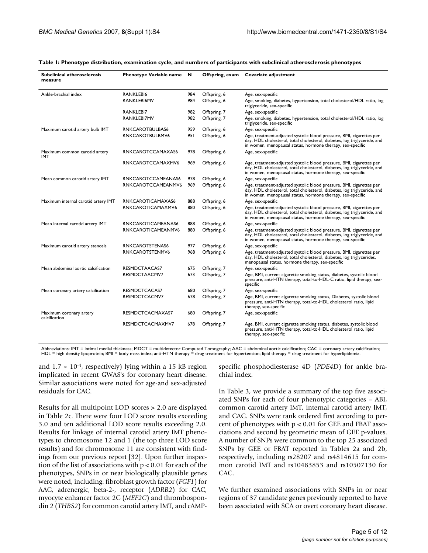| <b>Subclinical atherosclerosis</b><br>measure | Phenotype Variable name N              |            | Offspring, exam              | Covariate adjustment                                                                                                                                                                                           |
|-----------------------------------------------|----------------------------------------|------------|------------------------------|----------------------------------------------------------------------------------------------------------------------------------------------------------------------------------------------------------------|
|                                               |                                        |            |                              |                                                                                                                                                                                                                |
| Ankle-brachial index                          | <b>RANKLEBI6</b><br><b>RANKLEBI6MV</b> | 984<br>984 | Offspring, 6<br>Offspring, 6 | Age, sex-specific<br>Age, smoking, diabetes, hypertension, total cholesterol/HDL ratio, log<br>triglyceride, sex-specific                                                                                      |
|                                               | <b>RANKLEBI7</b>                       | 982        | Offspring, 7                 | Age, sex-specific                                                                                                                                                                                              |
|                                               | RANKLEBI7MV                            | 982        | Offspring, 7                 | Age, smoking, diabetes, hypertension, total cholesterol/HDL ratio, log<br>triglyceride, sex-specific                                                                                                           |
| Maximum carotid artery bulb IMT               | RNKCAROTBULBAS6                        | 959        | Offspring, 6                 | Age, sex-specific                                                                                                                                                                                              |
|                                               | RNKCAROTBULBMV6                        | 951        | Offspring, 6                 | Age, treatment-adjusted systolic blood pressure, BMI, cigarettes per<br>day, HDL cholesterol, total cholesterol, diabetes, log triglyceride, and<br>in women, menopausal status, hormone therapy, sex-specific |
| Maximum common carotid artery<br>IMT          | RNKCAROTCCAMAXAS6                      | 978        | Offspring, 6                 | Age, sex-specific                                                                                                                                                                                              |
|                                               | RNKCAROTCCAMAXMV6                      | 969        | Offspring, 6                 | Age, treatment-adjusted systolic blood pressure, BMI, cigarettes per<br>day, HDL cholesterol, total cholesterol, diabetes, log triglyceride, and<br>in women, menopausal status, hormone therapy, sex-specific |
| Mean common carotid artery IMT                | RNKCAROTCCAMEANAS6                     | 978        | Offspring, 6                 | Age, sex-specific                                                                                                                                                                                              |
|                                               | RNKCAROTCCAMEANMV6                     | 969        | Offspring, 6                 | Age, treatment-adjusted systolic blood pressure, BMI, cigarettes per<br>day, HDL cholesterol, total cholesterol, diabetes, log triglyceride, and<br>in women, menopausal status, hormone therapy, sex-specific |
| Maximum internal carotid artery IMT           | RNKCAROTICAMAXAS6                      | 888        | Offspring, 6                 | Age, sex-specific                                                                                                                                                                                              |
|                                               | RNKCAROTICAMAXMV6                      | 880        | Offspring, 6                 | Age, treatment-adjusted systolic blood pressure, BMI, cigarettes per<br>day, HDL cholesterol, total cholesterol, diabetes, log triglyceride, and<br>in women, menopausal status, hormone therapy, sex-specific |
| Mean internal carotid artery IMT              | RNKCAROTICAMEANAS6                     | 888        | Offspring, 6                 | Age, sex-specific                                                                                                                                                                                              |
|                                               | RNKCAROTICAMEANMV6                     | 880        | Offspring, 6                 | Age, treatment-adjusted systolic blood pressure, BMI, cigarettes per<br>day, HDL cholesterol, total cholesterol, diabetes, log triglyceride, and<br>in women, menopausal status, hormone therapy, sex-specific |
| Maximum carotid artery stenosis               | RNKCAROTSTENAS6                        | 977        | Offspring, 6                 | Age, sex-specific                                                                                                                                                                                              |
|                                               | RNKCAROTSTENMV6                        | 968        | Offspring, 6                 | Age, treatment-adjusted systolic blood pressure, BMI, cigarettes per<br>day, HDL cholesterol, total cholesterol, diabetes, log triglycerides,<br>menopausal status, hormone therapy, sex-specific              |
| Mean abdominal aortic calcification           | RESMDCTAACAS7                          | 675        | Offspring, 7                 | Age, sex-specific                                                                                                                                                                                              |
|                                               | RESMDCTAACMV7                          | 673        | Offspring, 7                 | Age, BMI, current cigarette smoking status, diabetes, systolic blood<br>pressure, anti-HTN therapy, total-to-HDL-C ratio, lipid therapy, sex-<br>specific                                                      |
| Mean coronary artery calcification            | RESMDCTCACAS7                          | 680        | Offspring, 7                 | Age, sex-specific                                                                                                                                                                                              |
|                                               | RESMDCTCACMV7                          | 678        | Offspring, 7                 | Age, BMI, current cigarette smoking status, Diabetes, systolic blood<br>pressure, anti-HTN therapy, total-to-HDL cholesterol ratio, lipid<br>therapy, sex-specific                                             |
| Maximum coronary artery<br>calcification      | RESMDCTCACMAXAS7                       | 680        | Offspring, 7                 | Age, sex-specific                                                                                                                                                                                              |
|                                               | RESMDCTCACMAXMV7                       | 678        | Offspring, 7                 | Age, BMI, current cigarette smoking status, diabetes, systolic blood<br>pressure, anti-HTN therapy, total-to-HDL cholesterol ratio, lipid<br>therapy, sex-specific                                             |

#### **Table 1: Phenotype distribution, examination cycle, and numbers of participants with subclinical atherosclerosis phenotypes**

Abbreviations: IMT = intimal medial thickness; MDCT = multidetector Computed Tomography; AAC = abdominal aortic calcification; CAC = coronary artery calcification;<br>HDL = high density lipoprotein; BMI = body mass index; ant

and  $1.7 \times 10^{-4}$ , respectively) lying within a 15 kB region implicated in recent GWAS's for coronary heart disease. Similar associations were noted for age-and sex-adjusted residuals for CAC.

Results for all multipoint LOD scores > 2.0 are displayed in Table 2c. There were four LOD score results exceeding 3.0 and ten additional LOD score results exceeding 2.0. Results for linkage of internal carotid artery IMT phenotypes to chromosome 12 and 1 (the top three LOD score results) and for chromosome 11 are consistent with findings from our previous report [32]. Upon further inspection of the list of associations with  $p < 0.01$  for each of the phenotypes, SNPs in or near biologically plausible genes were noted, including: fibroblast growth factor (*FGF1*) for AAC, adrenergic, beta-2-, receptor (*ADRB2*) for CAC, myocyte enhancer factor 2C (*MEF2C*) and thrombospondin 2 (*THBS2*) for common carotid artery IMT, and cAMP-

specific phosphodiesterase 4D (*PDE4D*) for ankle brachial index.

In Table 3, we provide a summary of the top five associated SNPs for each of four phenotypic categories – ABI, common carotid artery IMT, internal carotid artery IMT, and CAC. SNPs were rank ordered first according to percent of phenotypes with  $p < 0.01$  for GEE and FBAT associations and second by geometric mean of GEE p-values. A number of SNPs were common to the top 25 associated SNPs by GEE or FBAT reported in Tables 2a and 2b, respectively, including rs28207 and rs4814615 for common carotid IMT and rs10483853 and rs10507130 for CAC.

We further examined associations with SNPs in or near regions of 37 candidate genes previously reported to have been associated with SCA or overt coronary heart disease.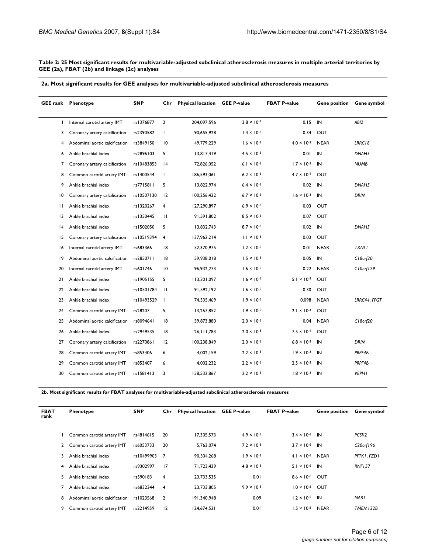**Table 2: 25 Most significant results for multivariable-adjusted subclinical atherosclerosis measures in multiple arterial territories by GEE (2a), FBAT (2b) and linkage (2c) analyses**

**2a. Most significant results for GEE analyses for multivariable-adjusted subclinical atherosclerosis measures**

| <b>GEE</b> rank | Phenotype                      | <b>SNP</b> | Chr            | <b>Physical location</b> | <b>GEE P-value</b>   | <b>FBAT P-value</b>  | <b>Gene position</b> | Gene symbol    |
|-----------------|--------------------------------|------------|----------------|--------------------------|----------------------|----------------------|----------------------|----------------|
| $\mathbf{L}$    | Internal carotid artery IMT    | rs1376877  | $\overline{2}$ | 204.097.596              | $3.8 \times 10^{-7}$ | 0.15                 | IN                   | ABI2           |
| 3               | Coronary artery calcification  | rs2390582  | $\mathbf{I}$   | 90,655,928               | $1.4 \times 10^{-6}$ | 0.34                 | OUT                  |                |
| 4               | Abdominal aortic calcification | rs3849150  | 10             | 49,779,229               | $1.6 \times 10^{-6}$ | $4.0 \times 10^{-3}$ | <b>NEAR</b>          | LRRC18         |
| 6               | Ankle brachial index           | rs2896103  | 5              | 13,817,419               | $4.5 \times 10^{-6}$ | 0.01                 | IN                   | DNAH5          |
| 7               | Coronary artery calcification  | rs10483853 | 4              | 72,826,052               | $6.1 \times 10^{-6}$ | $1.7 \times 10^{-3}$ | IN                   | <b>NUMB</b>    |
| 8               | Common carotid artery IMT      | rs1400544  | $\mathbf{I}$   | 186,593,061              | $6.2 \times 10^{-6}$ | $4.7 \times 10^{-4}$ | <b>OUT</b>           |                |
| 9               | Ankle brachial index           | rs7715811  | 5              | 13,822,974               | $6.4 \times 10^{-6}$ | 0.02                 | IN                   | DNAH5          |
| 10              | Coronary artery calcification  | rs10507130 | 12             | 100,256,422              | $6.7 \times 10^{-6}$ | $1.6 \times 10^{-3}$ | IN                   | <b>DRIM</b>    |
| П               | Ankle brachial index           | rs1320267  | $\overline{4}$ | 127,290,897              | $6.9 \times 10^{-6}$ | 0.03                 | OUT                  |                |
| 13              | Ankle brachial index           | rs1350445  | $\mathbf{H}$   | 91.591.802               | $8.5 \times 10^{-6}$ | 0.07                 | OUT                  |                |
| 14              | Ankle brachial index           | rs1502050  | 5              | 13,832,743               | $8.7 \times 10^{-6}$ | 0.02                 | IN                   | DNAH5          |
| 15              | Coronary artery calcification  | rs10519394 | $\overline{4}$ | 137,962,214              | $1.1 \times 10^{-5}$ | 0.03                 | OUT                  |                |
| 16              | Internal carotid artery IMT    | rs683366   | 8              | 52,370,975               | $1.2 \times 10^{-5}$ | 0.01                 | <b>NEAR</b>          | <b>TXNLI</b>   |
| 19              | Abdominal aortic calcification | rs2850711  | 8              | 59,938,018               | $1.5 \times 10^{-5}$ | 0.05                 | IN                   | $C18$ orf $20$ |
| 20              | Internal carotid artery IMT    | rs601746   | 10             | 96.932.273               | $1.6 \times 10^{-5}$ | 0.22                 | <b>NEAR</b>          | C10orf129      |
| 21              | Ankle brachial index           | rs1905155  | 5              | 113,301,097              | $1.6 \times 10^{-5}$ | $5.1 \times 10^{-3}$ | OUT                  |                |
| 22              | Ankle brachial index           | rs10501784 | -11            | 91,592,192               | $1.6 \times 10^{-5}$ | 0.30                 | OUT                  |                |
| 23              | Ankle brachial index           | rs10493529 | -1             | 74,335,469               | $1.9 \times 10^{-5}$ | 0.098                | <b>NEAR</b>          | LRRC44, FPGT   |
| 24              | Common carotid artery IMT      | rs28207    | 5              | 13,267,852               | $1.9 \times 10^{-5}$ | $2.1 \times 10^{-4}$ | OUT                  |                |
| 25              | Abdominal aortic calcification | rs8094641  | 8              | 59,873,880               | $2.0 \times 10^{-5}$ | 0.04                 | <b>NEAR</b>          | $C18$ orf $20$ |
| 26              | Ankle brachial index           | rs2949535  | 18             | 26, 111, 783             | $2.0 \times 10^{-5}$ | $7.5 \times 10^{-4}$ | OUT                  |                |
| 27              | Coronary artery calcification  | rs2270861  | 12             | 100,238,849              | $2.0 \times 10^{-5}$ | $6.8 \times 10^{-3}$ | IN                   | <b>DRIM</b>    |
| 28              | Common carotid artery IMT      | rs853406   | 6              | 4,002,159                | $2.2 \times 10^{-5}$ | $1.9 \times 10^{-3}$ | IN                   | PRPF4B         |
| 29              | Common carotid artery IMT      | rs853407   | 6              | 4,002,232                | $2.2 \times 10^{-5}$ | $2.5 \times 10^{-3}$ | IN                   | PRPF4B         |
| 30              | Common carotid artery IMT      | rs1581413  | 3              | 158,532,867              | $2.2 \times 10^{-5}$ | $1.8 \times 10^{-3}$ | IN                   | <b>VEPHI</b>   |
|                 |                                |            |                |                          |                      |                      |                      |                |

**2b. Most significant results for FBAT analyses for multivariable-adjusted subclinical atherosclerosis measures**

| <b>FBAT</b><br>rank | Phenotype                      | <b>SNP</b>   |                | Chr Physical location GEE P-value |                      | <b>FBAT P-value</b>  | <b>Gene position</b> | Gene symbol            |
|---------------------|--------------------------------|--------------|----------------|-----------------------------------|----------------------|----------------------|----------------------|------------------------|
|                     | Common carotid artery IMT      | rs4814615    | 20             | 17,305,573                        | $4.9 \times 10^{-5}$ | $3.4 \times 10^{-6}$ | IN                   | PCSK <sub>2</sub>      |
|                     | Common carotid artery IMT      | rs6053733    | 20             | 5.763.074                         | $7.2 \times 10^{-3}$ | $3.7 \times 10^{-6}$ | IN                   | C <sub>20orf</sub> 196 |
|                     | Ankle brachial index           | rs10499903 7 |                | 90.504.268                        | $1.9 \times 10^{-3}$ | $4.1 \times 10^{-6}$ | <b>NEAR</b>          | PFTKI, FZDI            |
| 4                   | Ankle brachial index           | rs9302997    | 17             | 71,723,439                        | $4.8 \times 10^{-3}$ | $5.1 \times 10^{-6}$ | IN                   | <b>RNF157</b>          |
|                     | Ankle brachial index           | rs590183     | $\overline{4}$ | 23.733.535                        | 0.01                 | $8.6 \times 10^{-6}$ | OUT                  |                        |
|                     | Ankle brachial index           | rs6832344    | 4              | 23,733,805                        | $9.9 \times 10^{-3}$ | $1.0 \times 10^{-5}$ | OUT                  |                        |
| 8                   | Abdominal aortic calcification | rs1023568    | $\overline{2}$ | 191.340.948                       | 0.09                 | $1.2 \times 10^{-5}$ | IN                   | NAB <sub>I</sub>       |
| 9.                  | Common carotid artery IMT      | rs2214959    | 12             | 124.674.521                       | 0.01                 | $1.5 \times 10^{-5}$ | <b>NEAR</b>          | TMEM132B               |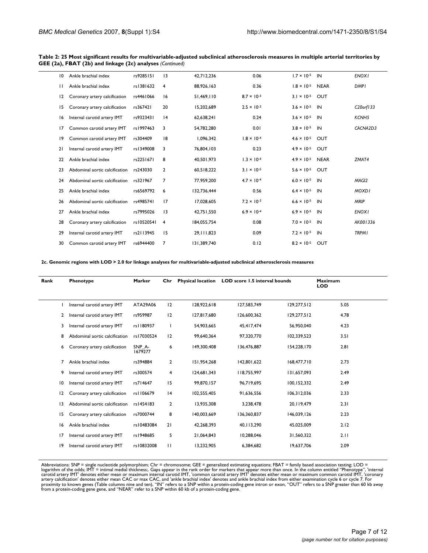| 10              | Ankle brachial index           | rs9285151  | 3              | 42,712,236  | 0.06                 | $1.7 \times 10^{-5}$ | IN          | <b>ENOX1</b>      |
|-----------------|--------------------------------|------------|----------------|-------------|----------------------|----------------------|-------------|-------------------|
| $\mathbf{H}$    | Ankle brachial index           | rs1381632  | 4              | 88,926,163  | 0.36                 | $1.8 \times 10^{-5}$ | <b>NEAR</b> | <b>DMPI</b>       |
| 12              | Coronary artery calcification  | rs4461066  | 16             | 51,469,110  | $8.7 \times 10^{-3}$ | $3.1 \times 10^{-5}$ | OUT         |                   |
| 15              | Coronary artery calcification  | rs367421   | 20             | 15,202,689  | $2.5 \times 10^{-3}$ | $3.6 \times 10^{-5}$ | IN          | C20orf133         |
| 16              | Internal carotid artery IMT    | rs9323431  | 4              | 62,638,241  | 0.24                 | $3.6 \times 10^{-5}$ | IN          | <b>KCNH5</b>      |
| 17              | Common carotid artery IMT      | rs1997463  | 3              | 54,782,280  | 0.01                 | $3.8 \times 10^{-5}$ | IN          | CACNA2D3          |
| $\overline{19}$ | Common carotid artery IMT      | rs304409   | 8              | 1,096,342   | $1.8 \times 10^{-4}$ | $4.6 \times 10^{-5}$ | OUT         |                   |
| 21              | Internal carotid artery IMT    | rs1349008  | 3              | 76,804,103  | 0.23                 | $4.9 \times 10^{-5}$ | OUT         |                   |
| 22              | Ankle brachial index           | rs2251671  | 8              | 40,501,973  | $1.3 \times 10^{-4}$ | $4.9 \times 10^{-5}$ | <b>NEAR</b> | ZMAT4             |
| 23              | Abdominal aortic calcification | rs243030   | 2              | 60,518,222  | $3.1 \times 10^{-5}$ | $5.6 \times 10^{-5}$ | OUT         |                   |
| 24              | Abdominal aortic calcification | rs321967   | 7              | 77.959.200  | $4.7 \times 10^{-4}$ | $6.0 \times 10^{-5}$ | IN          | MAGI2             |
| 25              | Ankle brachial index           | rs6569792  | 6              | 132,736,444 | 0.56                 | $6.4 \times 10^{-5}$ | IN          | MOXD <sub>I</sub> |
| 26              | Abdominal aortic calcification | rs4985741  | 17             | 17,028,605  | $7.2 \times 10^{-3}$ | $6.6 \times 10^{-5}$ | IN          | <b>MRIP</b>       |
| 27              | Ankle brachial index           | rs7995026  | 3              | 42,751,550  | $6.9 \times 10^{-4}$ | $6.9 \times 10^{-5}$ | IN          | <b>ENOX1</b>      |
| 28              | Coronary artery calcification  | rs10520541 | 4              | 184.055.754 | 0.08                 | $7.0 \times 10^{-5}$ | IN          | AK001336          |
| 29              | Internal carotid artery IMT    | rs2113945  | 15             | 29, 11, 823 | 0.09                 | $7.2 \times 10^{-5}$ | IN          | <b>TRPMI</b>      |
| 30              | Common carotid artery IMT      | rs6944400  | $\overline{7}$ | 131.389.740 | 0.12                 | $8.2 \times 10^{-5}$ | OUT         |                   |
|                 |                                |            |                |             |                      |                      |             |                   |

**Table 2: 25 Most significant results for multivariable-adjusted subclinical atherosclerosis measures in multiple arterial territories by GEE (2a), FBAT (2b) and linkage (2c) analyses** *(Continued)*

**2c. Genomic regions with LOD > 2.0 for linkage analyses for multivariable-adjusted subclinical atherosclerosis measures**

| Rank | Phenotype                      | Marker            | Chr            | <b>Physical location</b> | LOD score 1.5 interval bounds |              | <b>Maximum</b><br><b>LOD</b> |  |
|------|--------------------------------|-------------------|----------------|--------------------------|-------------------------------|--------------|------------------------------|--|
|      | Internal carotid artery IMT    | ATA29A06          | 12             | 128,922,618              | 127,583,749                   | 129,277,512  | 5.05                         |  |
| 2    | Internal carotid artery IMT    | rs959987          | 12             | 127,817,680              | 126,600,362                   | 129,277,512  | 4.78                         |  |
| 3    | Internal carotid artery IMT    | rs1180937         |                | 54,903,665               | 45,417,474                    | 56,950,040   | 4.23                         |  |
| 8    | Abdominal aortic calcification | rs17030524        | 12             | 99.640.364               | 97.320.770                    | 102,339,523  | 3.51                         |  |
| 6    | Coronary artery calcification  | SNP A-<br>1679277 | 6              | 149.300.408              | 136,476,887                   | 154,228,170  | 2.81                         |  |
| 7    | Ankle brachial index           | rs394884          | $\overline{2}$ | 151.954.268              | 142.801.622                   | 168,477,710  | 2.73                         |  |
| 9    | Internal carotid artery IMT    | rs300574          | 4              | 124.681.343              | 118,755,997                   | 131,657,093  | 2.49                         |  |
| 10   | Internal carotid artery IMT    | rs714647          | 15             | 99.870.157               | 96.719.695                    | 100,152,332  | 2.49                         |  |
| 12   | Coronary artery calcification  | rs1106679         | 4              | 102,555,405              | 91,636,556                    | 106,312,036  | 2.33                         |  |
| 13   | Abdominal aortic calcification | rs1454183         | $\overline{2}$ | 13,935,308               | 3,238,478                     | 20, 119, 479 | 2.31                         |  |
| 15   | Coronary artery calcification  | rs7000744         | 8              | 140,003,669              | 136,360,837                   | 146,039,126  | 2.23                         |  |
| 16   | Ankle brachial index           | rs10483084        | 21             | 42,268,393               | 40, I 13, 290                 | 45,025,009   | 2.12                         |  |
| 17   | Internal carotid artery IMT    | rs1948685         | 5              | 21,064,843               | 10,288,046                    | 31,560,322   | 2.11                         |  |
| 9    | Internal carotid artery IMT    | rs10832008        | $\mathbf{H}$   | 13,232,905               | 6,384,682                     | 19,637,706   | 2.09                         |  |

Abbreviations: SNP = single nucleotide polymorphism; Chr = chromosome; GEE = generalized estimating equations; FBAT = family based association testing; LOD =<br>logarithm of the odds; IMT = intimal medial thickness;. Gaps app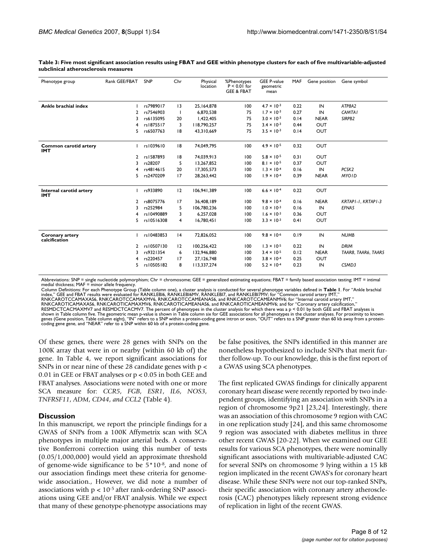| Phenotype group                            | Rank GEE/FBAT | <b>SNP</b> | Chr            | Physical<br>location | %Phenotypes<br>$P < 0.01$ for<br><b>GEE &amp; FBAT</b> | <b>GEE P-value</b><br>geometric<br>mean | <b>MAF</b> | Gene position | Gene symbol         |
|--------------------------------------------|---------------|------------|----------------|----------------------|--------------------------------------------------------|-----------------------------------------|------------|---------------|---------------------|
| Ankle brachial index                       |               | rs7989017  | 3              | 25,164,878           | 100                                                    | $4.7 \times 10^{-3}$                    | 0.22       | IN            | ATP8A2              |
|                                            | $\mathbf{2}$  | rs7546903  |                | 6,870,538            | 75                                                     | $1.7 \times 10^{-3}$                    | 0.27       | IN            | <b>CAMTA1</b>       |
|                                            | 3             | rs6135095  | 20             | 1,422,405            | 75                                                     | $3.0 \times 10^{-3}$                    | 0.14       | <b>NEAR</b>   | SIRPB <sub>2</sub>  |
|                                            | 4             | rs1875517  | 3              | 118,790,257          | 75                                                     | $3.4 \times 10^{-3}$                    | 0.44       | OUT           |                     |
|                                            | 5             | rs6507763  | 18             | 43,310,669           | 75                                                     | $3.5 \times 10^{-3}$                    | 0.14       | OUT           |                     |
| <b>Common carotid artery</b><br><b>IMT</b> |               | rs1039610  | 8              | 74.049.795           | 100                                                    | $4.9 \times 10^{-5}$                    | 0.32       | <b>OUT</b>    |                     |
|                                            | $\mathbf{2}$  | rs1587893  | 18             | 74,039,913           | 100                                                    | $5.8 \times 10^{-5}$                    | 0.31       | OUT           |                     |
|                                            |               | rs28207    | 5              | 13.267.852           | 100                                                    | $8.1 \times 10^{-5}$                    | 0.37       | <b>OUT</b>    |                     |
|                                            | 4             | rs4814615  | 20             | 17.305.573           | 100                                                    | $1.3 \times 10^{-4}$                    | 0.16       | IN            | PCSK <sub>2</sub>   |
|                                            | 5.            | rs2470209  | 17             | 28,263,442           | 100                                                    | $1.9 \times 10^{-4}$                    | 0.39       | <b>NEAR</b>   | <b>MYOID</b>        |
| Internal carotid artery<br><b>IMT</b>      |               | rs933890   | 12             | 106, 941, 389        | 100                                                    | $6.6 \times 10^{-4}$                    | 0.22       | OUT           |                     |
|                                            | $\mathbf{2}$  | rs8075776  | 17             | 36,408,189           | 100                                                    | $9.8 \times 10^{-4}$                    | 0.16       | <b>NEAR</b>   | KRTAPI-I, KRTAPI-3  |
|                                            |               | rs252984   | 5              | 106,780,236          | 100                                                    | $1.0 \times 10^{-3}$                    | 0.16       | IN            | EFNA5               |
|                                            | 4             | rs10490889 | 3              | 6.257.028            | 100                                                    | $1.6 \times 10^{-3}$                    | 0.36       | <b>OUT</b>    |                     |
|                                            | 5             | rs10516308 | $\overline{4}$ | 16,780,451           | 100                                                    | $3.3 \times 10^{-3}$                    | 0.41       | OUT           |                     |
| <b>Coronary artery</b><br>calcification    |               | rs10483853 | 4              | 72,826,052           | 100                                                    | $9.8 \times 10^{-6}$                    | 0.19       | IN            | <b>NUMB</b>         |
|                                            | 2             | rs10507130 | 12             | 100,256,422          | 100                                                    | $1.3 \times 10^{-5}$                    | 0.22       | IN            | <b>DRIM</b>         |
|                                            | 3             | rs9321354  | 6              | 132.946.880          | 100                                                    | $3.4 \times 10^{-5}$                    | 0.12       | <b>NEAR</b>   | TAAR8, TAAR6, TAAR5 |
|                                            | 4             | rs220457   | 17             | 27.126.748           | 100                                                    | $3.8 \times 10^{-4}$                    | 0.25       | <b>OUT</b>    |                     |
|                                            | 5             | rs10505182 | 8              | 113,337,274          | 100                                                    | $5.2 \times 10^{-4}$                    | 0.23       | IN            | CSMD3               |

**Table 3: Five most significant association results using FBAT and GEE within phenotype clusters for each of five multivariable-adjusted subclinical atherosclerosis measures**

Abbreviations: SNP = single nucleotide polymorphism; Chr = chromosome; GEE = generalized estimating equations; FBAT = family based association testing; IMT = intimal medial thickness;  $MAF =$  minor allele frequency.

Column Definitions: For each Phenotype Group (Table column one), a cluster analysis is conducted for several phenotype variables defined in **Table 1**. For "Ankle brachial<br>index," GEE and FBAT results were evaluated for RAN

RNKCAROTCCAMAXAS6, RNKCAROTCCAMAXMV6, RNKCAROTCCAMEANAS6, and RNKCAROTCCAMEANMV6; for "Internal carotid artery IMT,"<br>RNKCAROTICAMAXAS6, RNKCAROTICAMAXMV6, RNKCAROTICAMEANAS6, and RNKCAROTICAMEANMV6; and for "Coronary arter

RESMDCTCACMAXMV7 and RESMDCTCACMV7. The percent of phenotypes in the cluster analysis for which there was a p < 0.01 by both GEE and FBAT analyses is

shown in Table column five. The geometric mean p-value is shown in Table column six for GEE associations for all phenotypes in the cluster analyses. For proximity to known<br>genes (Gene position, Table column eight), "IN" re

Of these genes, there were 28 genes with SNPs on the 100K array that were in or nearby (within 60 kb of) the gene. In Table 4, we report significant associations for SNPs in or near nine of these 28 candidate genes with p < 0.01 in GEE or FBAT analyses or p < 0.05 in both GEE and FBAT analyses. Associations were noted with one or more SCA measure for: *CCR5*, *FGB*, *ESR1*, *IL6*, *NOS3*, *TNFRSF11*, *ADM*, *CD44*, *and CCL2* (Table 4).

#### **Discussion**

In this manuscript, we report the principle findings for a GWAS of SNPs from a 100K Affymetrix scan with SCA phenotypes in multiple major arterial beds. A conservative Bonferroni correction using this number of tests (0.05/1,000,000) would yield an approximate threshold of genome-wide significance to be  $5*10<sup>-8</sup>$ , and none of our association findings meet these criteria for genomewide association., However, we did note a number of associations with  $p < 10^{-5}$  after rank-ordering SNP associations using GEE and/or FBAT analysis. While we expect that many of these genotype-phenotype associations may be false positives, the SNPs identified in this manner are nonetheless hypothesized to include SNPs that merit further follow-up. To our knowledge, this is the first report of a GWAS using SCA phenotypes.

The first replicated GWAS findings for clinically apparent coronary heart disease were recently reported by two independent groups, identifying an association with SNPs in a region of chromosome 9p21 [23,24]. Interestingly, there was an association of this chromosome 9 region with CAC in one replication study [24], and this same chromosome 9 region was associated with diabetes mellitus in three other recent GWAS [20-22]. When we examined our GEE results for various SCA phenotypes, there were nominally significant associations with multivariable-adjusted CAC for several SNPs on chromosome 9 lying within a 15 kB region implicated in the recent GWAS's for coronary heart disease. While these SNPs were not our top-ranked SNPs, their specific association with coronary artery atherosclerosis (CAC) phenotypes likely represent strong evidence of replication in light of the recent GWAS.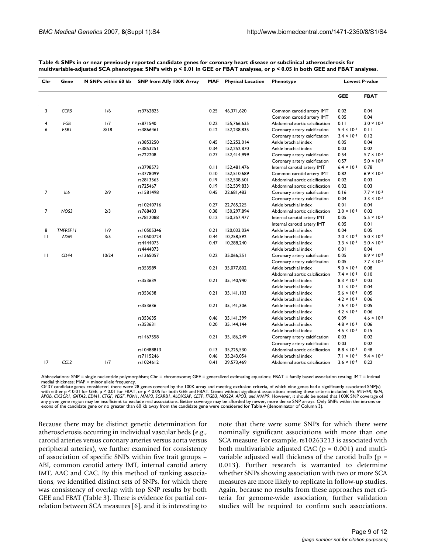| Chr            | Gene             | N SNPs within 60 kb | <b>SNP from Affy 100K Array</b> | <b>MAF</b> | <b>Physical Location</b> | Phenotype                      |                      | <b>Lowest P-value</b> |
|----------------|------------------|---------------------|---------------------------------|------------|--------------------------|--------------------------------|----------------------|-----------------------|
|                |                  |                     |                                 |            |                          |                                | <b>GEE</b>           | <b>FBAT</b>           |
| 3              | CCR5             | 1/6                 | rs3762823                       | 0.25       | 46,371,620               | Common carotid artery IMT      | 0.02                 | 0.04                  |
|                |                  |                     |                                 |            |                          | Common carotid artery IMT      | 0.05                 | 0.04                  |
| 4              | FGB              | 1/7                 | rs871540                        | 0.22       | 155,766,635              | Abdominal aortic calcification | 0.11                 | $3.0 \times 10^{-3}$  |
| 6              | ESR1             | 8/18                | rs3866461                       | 0.12       | 152,238,835              | Coronary artery calcification  | $5.4 \times 10^{-3}$ | 0.11                  |
|                |                  |                     |                                 |            |                          | Coronary artery calcification  | $3.4 \times 10^{-3}$ | 0.12                  |
|                |                  |                     | rs3853250                       | 0.45       | 152,252,014              | Ankle brachial index           | 0.05                 | 0.04                  |
|                |                  |                     | rs3853251                       | 0.34       | 152,252,870              | Ankle brachial index           | 0.03                 | 0.02                  |
|                |                  |                     | rs722208                        | 0.27       | 152,414,999              | Coronary artery calcification  | 0.54                 | $5.7 \times 10^{-3}$  |
|                |                  |                     |                                 |            |                          | Coronary artery calcification  | 0.57                 | $5.0 \times 10^{-3}$  |
|                |                  |                     | rs3798573                       | 0.11       | 152,481,476              | Internal carotid artery IMT    | $6.4 \times 10^{-3}$ | 0.78                  |
|                |                  |                     | rs3778099                       | 0.10       | 152,510,689              | Common carotid artery IMT      | 0.82                 | $6.9 \times 10^{-3}$  |
|                |                  |                     | rs2813563                       | 0.19       | 152,538,601              | Abdominal aortic calcification | 0.02                 | 0.03                  |
|                |                  |                     | rs725467                        | 0.19       | 152,539,833              | Abdominal aortic calcification | 0.02                 | 0.03                  |
| 7              | IL6              | 2/9                 | rs1581498                       | 0.45       | 22,681,483               | Coronary artery calcification  | 0.16                 | $7.7 \times 10^{-3}$  |
|                |                  |                     |                                 |            |                          | Coronary artery calcification  | 0.04                 | $3.3 \times 10^{-3}$  |
|                |                  |                     | rs10240716                      | 0.27       | 22.765.225               | Ankle brachial index           | 0.01                 | 0.04                  |
| $\overline{7}$ | NOS3             | 2/3                 | rs768403                        | 0.38       | 150,297,894              | Abdominal aortic calcification | $2.0 \times 10^{-3}$ | 0.02                  |
|                |                  |                     | rs7812088                       | 0.12       | 150,357,477              | Internal carotid artery IMT    | 0.05                 | $5.5 \times 10^{-3}$  |
|                |                  |                     |                                 |            |                          | Internal carotid artery IMT    | 0.05                 | 0.01                  |
| 8              | <b>TNFRSF11</b>  | 1/9                 | rs10505346                      | 0.21       | 120,033,024              | Ankle brachial index           | 0.04                 | 0.05                  |
| $\mathbf{H}$   | <b>ADM</b>       | 3/5                 | rs10500724                      | 0.44       | 10,258,592               | Ankle brachial index           | $2.0 \times 10^{-4}$ | $5.0 \times 10^{-4}$  |
|                |                  |                     | rs4444073                       | 0.47       | 10,288,240               | Ankle brachial index           | $3.3 \times 10^{-3}$ | $5.0 \times 10^{-4}$  |
|                |                  |                     | rs4444073                       |            |                          | Ankle brachial index           | 0.01                 | 0.04                  |
| $\mathbf{H}$   | CD44             | 10/24               | rs1365057                       | 0.22       | 35.066.251               | Coronary artery calcification  | 0.05                 | $8.9 \times 10^{-3}$  |
|                |                  |                     |                                 |            |                          | Coronary artery calcification  | 0.05                 | $7.7 \times 10^{-3}$  |
|                |                  |                     | rs353589                        | 0.21       | 35,077,802               | Ankle brachial index           | $9.0 \times 10^{-3}$ | 0.08                  |
|                |                  |                     |                                 |            |                          | Abdominal aortic calcification | $7.4 \times 10^{-3}$ | 0.10                  |
|                |                  |                     | rs353639                        | 0.21       | 35,140,940               | Ankle brachial index           | $8.3 \times 10^{-3}$ | 0.03                  |
|                |                  |                     |                                 |            |                          | Ankle brachial index           | $3.1 \times 10^{-3}$ | 0.04                  |
|                |                  |                     | rs353638                        | 0.21       | 35, 141, 103             | Ankle brachial index           | $5.6 \times 10^{-3}$ | 0.05                  |
|                |                  |                     |                                 |            |                          | Ankle brachial index           | $4.2 \times 10^{-3}$ | 0.06                  |
|                |                  |                     | rs353636                        | 0.21       | 35, 141, 306             | Ankle brachial index           | $7.6 \times 10^{-3}$ | 0.05                  |
|                |                  |                     |                                 |            |                          | Ankle brachial index           | $4.2 \times 10^{-3}$ | 0.06                  |
|                |                  |                     | rs353635                        | 0.46       | 35, 141, 399             | Ankle brachial index           | 0.09                 | $4.6 \times 10^{-3}$  |
|                |                  |                     | rs353631                        | 0.20       | 35, 144, 144             | Ankle brachial index           | $4.8 \times 10^{-3}$ | 0.06                  |
|                |                  |                     |                                 |            |                          | Ankle brachial index           | $4.5 \times 10^{-3}$ | 0.15                  |
|                |                  |                     | rs1467558                       | 0.21       | 35,186,249               | Coronary artery calcification  | 0.03                 | 0.02                  |
|                |                  |                     |                                 |            |                          | Coronary artery calcification  | 0.03                 | 0.02                  |
|                |                  |                     | rs10488813                      | 0.13       | 35,225,530               | Abdominal aortic calcification | $8.8 \times 10^{-3}$ | 0.48                  |
|                |                  |                     | rs7115246                       | 0.46       | 35,243,054               | Ankle brachial index           | $7.1 \times 10^{-3}$ | $9.4 \times 10^{-3}$  |
| 17             | CCL <sub>2</sub> | 1/7                 | rs1024612                       | 0.41       | 29,573,469               | Abdominal aortic calcification | $3.6 \times 10^{-3}$ | 0.22                  |
|                |                  |                     |                                 |            |                          |                                |                      |                       |

**Table 4: SNPs in or near previously reported candidate genes for coronary heart disease or subclinical atherosclerosis for multivariable-adjusted SCA phenotypes: SNPs with p < 0.01 in GEE or FBAT analyses, or p < 0.05 in both GEE and FBAT analyses.**

Abbreviations: SNP = single nucleotide polymorphism; Chr = chromosome; GEE = generalized estimating equations; FBAT = family based association testing; IMT = intimal<br>medial thickness; MAF = minor allele frequency.<br>Of 37 ca

with either p < 0.01 for GEE, p < 0.01 for FBAT, or p < 0.05 for both GEE and FBAT. Genes without significant associations meeting these criteria included: F5, MTHFR, REN,<br>APOB, CX3CR1, GATA2, EDN1, CTGF, VEGF, PON1, MMP3, any given gene region may be insufficient to exclude real associations. Better coverage may be afforded by newer, more dense SNP arrays. Only SNPs within the introns or exons of the candidate gene or no greater than 60 kb away from the candidate gene were considered for Table 4 (denominator of Column 3).

Because there may be distinct genetic determination for atherosclerosis occurring in individual vascular beds (e.g., carotid arteries versus coronary arteries versus aorta versus peripheral arteries), we further examined for consistency of association of specific SNPs within five trait groups – ABI, common carotid artery IMT, internal carotid artery IMT, AAC and CAC. By this method of ranking associations, we identified distinct sets of SNPs, for which there was consistency of overlap with top SNP results by both GEE and FBAT (Table 3). There is evidence for partial correlation between SCA measures [6], and it is interesting to

note that there were some SNPs for which there were nominally significant associations with more than one SCA measure. For example, rs10263213 is associated with both multivariable adjusted CAC ( $p = 0.001$ ) and multivariable adjusted wall thickness of the carotid bulb ( $p =$ 0.013). Further research is warranted to determine whether SNPs showing association with two or more SCA measures are more likely to replicate in follow-up studies. Again, because no results from these approaches met criteria for genome-wide association, further validation studies will be required to confirm such associations.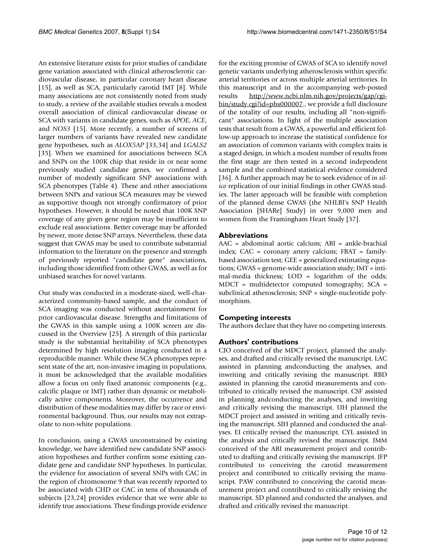An extensive literature exists for prior studies of candidate gene variation associated with clinical atherosclerotic cardiovascular disease, in particular coronary heart disease [15], as well as SCA, particularly carotid IMT [8]. While many associations are not consistently noted from study to study, a review of the available studies reveals a modest overall association of clinical cardiovascular disease or SCA with variants in candidate genes, such as *APOE*, *ACE*, and *NOS3* [15]. More recently, a number of screens of larger numbers of variants have revealed new candidate gene hypotheses, such as *ALOX5AP* [33,34] and *LGALS2* [35]. When we examined for associations between SCA and SNPs on the 100K chip that reside in or near some previously studied candidate genes, we confirmed a number of modestly significant SNP associations with SCA phenotypes (Table 4). These and other associations between SNPs and various SCA measures may be viewed as supportive though not strongly confirmatory of prior hypotheses. However, it should be noted that 100K SNP coverage of any given gene region may be insufficient to exclude real associations. Better coverage may be afforded by newer, more dense SNP arrays. Nevertheless, these data suggest that GWAS may be used to contribute substantial information to the literature on the presence and strength of previously reported "candidate gene" associations, including those identified from other GWAS, as well as for unbiased searches for novel variants.

Our study was conducted in a moderate-sized, well-characterized community-based sample, and the conduct of SCA imaging was conducted without ascertainment for prior cardiovascular disease. Strengths and limitations of the GWAS in this sample using a 100K screen are discussed in the Overview [25]. A strength of this particular study is the substantial heritability of SCA phenotypes determined by high resolution imaging conducted in a reproducible manner. While these SCA phenotypes represent state of the art, non-invasive imaging in populations, it must be acknowledged that the available modalities allow a focus on only fixed anatomic components (e.g., calcific plaque or IMT) rather than dynamic or metabolically active components. Moreover, the occurrence and distribution of these modalities may differ by race or environmental background. Thus, our results may not extrapolate to non-white populations.

In conclusion, using a GWAS unconstrained by existing knowledge, we have identified new candidate SNP association hypotheses and further confirm some existing candidate gene and candidate SNP hypotheses. In particular, the evidence for association of several SNPs with CAC in the region of chromosome 9 that was recently reported to be associated with CHD or CAC in tens of thousands of subjects [23,24] provides evidence that we were able to identify true associations. These findings provide evidence for the exciting promise of GWAS of SCA to identify novel genetic variants underlying atherosclerosis within specific arterial territories or across multiple arterial territories. In this manuscript and in the accompanying web-posted results [http://www.ncbi.nlm.nih.gov/projects/gap/cgi](http://www.ncbi.nlm.nih.gov/projects/gap/cgi-bin/study.cgi?id=phs000007)[bin/study.cgi?id=phs000007](http://www.ncbi.nlm.nih.gov/projects/gap/cgi-bin/study.cgi?id=phs000007)., we provide a full disclosure of the totality of our results, including all "non-significant" associations. In light of the multiple association tests that result from a GWAS, a powerful and efficient follow-up approach to increase the statistical confidence for an association of common variants with complex traits is a staged design, in which a modest number of results from the first stage are then tested in a second independent sample and the combined statistical evidence considered [36]. A further approach may be to seek evidence of *in silico* replication of our initial findings in other GWAS studies. The latter approach will be feasible with completion of the planned dense GWAS (the NHLBI's SNP Health Association [SHARe] Study) in over 9,000 men and women from the Framingham Heart Study [37].

## **Abbreviations**

AAC = abdominal aortic calcium; ABI = ankle-brachial index; CAC = coronary artery calcium; FBAT = familybased association test; GEE = generalized estimating equations; GWAS = genome-wide association study; IMT = intimal-media thickness; LOD = logarithm of the odds;  $MDCT$  = multidetector computed tomography;  $SCA$  = subclinical atherosclerosis; SNP = single-nucleotide polymorphism.

## **Competing interests**

The authors declare that they have no competing interests.

## **Authors' contributions**

CJO conceived of the MDCT project, planned the analyses, and drafted and critically revised the manuscript. LAC assisted in planning andconducting the analyses, and inwriting and critically revising the manuscript. RBD assisted in planning the carotid measurements and contributed to critically revised the manuscript. CSF assisted in planning andconducting the analyses, and inwriting and critically revising the manuscript. UH planned the MDCT project and assisted in writing and critically revising the manuscript. SJH planned and conducted the analyses. EI critically revised the manuscript. CYL assisted in the analysis and critically revised the manuscript. JMM conceived of the ABI measurement project and contributed to drafting and critically revising the manuscript. JFP contributed to conceiving the carotid measurement project and contributed to critically revising the manuscript. PAW contributed to conceiving the carotid measurement project and contributed to critically revising the manuscript. SD planned and conducted the analyses, and drafted and critically revised the manuscript.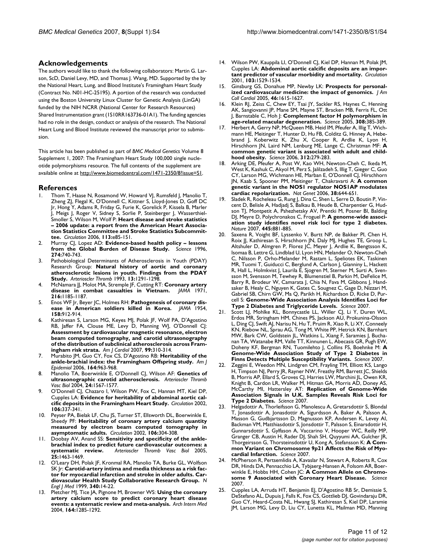#### **Acknowledgements**

The authors would like to thank the following collaborators: Martin G. Larson, ScD, Daniel Levy, MD, and Thomas J. Wang, MD. Supported by the by the National Heart, Lung, and Blood Institute's Framingham Heart Study (Contract No. N01-HC-25195). A portion of the research was conducted using the Boston University Linux Cluster for Genetic Analysis (LinGA) funded by the NIH NCRR (National Center for Research Resources) Shared Instrumentation grant (1S10RR163736-01A1). The funding agencies had no role in the design, conduct or analysis of the research. The National Heart Lung and Blood Institute reviewed the manuscript prior to submission.

This article has been published as part of *BMC Medical Genetics* Volume 8 Supplement 1, 2007: The Framingham Heart Study 100,000 single nucleotide polymorphisms resource. The full contents of the supplement are available online at<http://www.biomedcentral.com/1471-2350/8?issue=S1>.

#### **References**

- 1. Thom T, Haase N, Rosamond W, Howard VJ, Rumsfeld J, Manolio T, Zheng ZJ, Flegal K, O'Donnell C, Kittner S, Lloyd-Jones D, Goff DC Jr, Hong Y, Adams R, Friday G, Furie K, Gorelick P, Kissela B, Marler J, Meigs J, Roger V, Sidney S, Sorlie P, Steinberger J, Wasserthiel-Smoller S, Wilson M, Wolf P: **[Heart disease and stroke statistics](http://www.ncbi.nlm.nih.gov/entrez/query.fcgi?cmd=Retrieve&db=PubMed&dopt=Abstract&list_uids=16407573) [– 2006 update: a report from the American Heart Associa](http://www.ncbi.nlm.nih.gov/entrez/query.fcgi?cmd=Retrieve&db=PubMed&dopt=Abstract&list_uids=16407573)tion Statistics Committee and Stroke Statistics Subcommit[tee.](http://www.ncbi.nlm.nih.gov/entrez/query.fcgi?cmd=Retrieve&db=PubMed&dopt=Abstract&list_uids=16407573)** *Circulation* 2006, **113:**e85-151.
- 2. Murray CJ, Lopez AD: **[Evidence-based health policy lessons](http://www.ncbi.nlm.nih.gov/entrez/query.fcgi?cmd=Retrieve&db=PubMed&dopt=Abstract&list_uids=8966556) [from the Global Burden of Disease Study.](http://www.ncbi.nlm.nih.gov/entrez/query.fcgi?cmd=Retrieve&db=PubMed&dopt=Abstract&list_uids=8966556)** *Science* 1996, **274:**740-743.
- Pathobiological Determinants of Atherosclerosis in Youth (PDAY) Research Group: **[Natural history of aortic and coronary](http://www.ncbi.nlm.nih.gov/entrez/query.fcgi?cmd=Retrieve&db=PubMed&dopt=Abstract&list_uids=8364013) [atherosclerotic lesions in youth. Findings from the PDAY](http://www.ncbi.nlm.nih.gov/entrez/query.fcgi?cmd=Retrieve&db=PubMed&dopt=Abstract&list_uids=8364013) [Study.](http://www.ncbi.nlm.nih.gov/entrez/query.fcgi?cmd=Retrieve&db=PubMed&dopt=Abstract&list_uids=8364013)** *Arterioscler Thromb* 1993, **13:**1291-1298.
- 4. McNamara JJ, Molot MA, Stremple JF, Cutting RT: **[Coronary artery](http://www.ncbi.nlm.nih.gov/entrez/query.fcgi?cmd=Retrieve&db=PubMed&dopt=Abstract&list_uids=5108403) [disease in combat casualties in Vietnam.](http://www.ncbi.nlm.nih.gov/entrez/query.fcgi?cmd=Retrieve&db=PubMed&dopt=Abstract&list_uids=5108403)** *JAMA* 1971, **216:**1185-1187.
- 5. Enos WF Jr, Beyer JC, Holmes RH: **Pathogenesis of coronary disease in American soldiers killed in Korea.** *JAMA* 1954, **158:**912-914.
- 6. Kathiresan S, Larson MG, Keyes MJ, Polak JF, Wolf PA, D'Agostino RB, Jaffer FA, Clouse ME, Levy D, Manning WJ, O'Donnell CJ: **[Assessment by cardiovascular magnetic resonance, electron](http://www.ncbi.nlm.nih.gov/entrez/query.fcgi?cmd=Retrieve&db=PubMed&dopt=Abstract&list_uids=17261388) beam computed tomography, and carotid ultrasonography of the distribution of subclinical atherosclerosis across Fram[ingham risk strata.](http://www.ncbi.nlm.nih.gov/entrez/query.fcgi?cmd=Retrieve&db=PubMed&dopt=Abstract&list_uids=17261388)** *Am J Cardiol* 2007, **99:**310-314.
- 7. Murabito JM, Guo CY, Fox CS, D'Agostino RB: **[Heritability of the](http://www.ncbi.nlm.nih.gov/entrez/query.fcgi?cmd=Retrieve&db=PubMed&dopt=Abstract&list_uids=16928729) [ankle-brachial index: the Framingham Offspring study.](http://www.ncbi.nlm.nih.gov/entrez/query.fcgi?cmd=Retrieve&db=PubMed&dopt=Abstract&list_uids=16928729)** *Am J Epidemiol* 2006, **164:**963-968.
- 8. Manolio TA, Boerwinkle E, O'Donnell CJ, Wilson AF: **[Genetics of](http://www.ncbi.nlm.nih.gov/entrez/query.fcgi?cmd=Retrieve&db=PubMed&dopt=Abstract&list_uids=15256397) [ultrasonographic carotid atherosclerosis.](http://www.ncbi.nlm.nih.gov/entrez/query.fcgi?cmd=Retrieve&db=PubMed&dopt=Abstract&list_uids=15256397)** *Arterioscler Thromb Vasc Biol* 2004, **24:**1567-1577.
- 9. O'Donnell CJ, Chazaro I, Wilson PW, Fox C, Hannan MT, Kiel DP, Cupples LA: **[Evidence for heritability of abdominal aortic cal](http://www.ncbi.nlm.nih.gov/entrez/query.fcgi?cmd=Retrieve&db=PubMed&dopt=Abstract&list_uids=12119250)[cific deposits in the Framingham Heart Study.](http://www.ncbi.nlm.nih.gov/entrez/query.fcgi?cmd=Retrieve&db=PubMed&dopt=Abstract&list_uids=12119250)** *Circulation* 2002, **106:**337-341.
- 10. Peyser PA, Bielak LF, Chu JS, Turner ST, Ellsworth DL, Boerwinkle E, Sheedy PF: **[Heritability of coronary artery calcium quantity](http://www.ncbi.nlm.nih.gov/entrez/query.fcgi?cmd=Retrieve&db=PubMed&dopt=Abstract&list_uids=12119244) [measured by electron beam computed tomography in](http://www.ncbi.nlm.nih.gov/entrez/query.fcgi?cmd=Retrieve&db=PubMed&dopt=Abstract&list_uids=12119244) [asymptomatic adults.](http://www.ncbi.nlm.nih.gov/entrez/query.fcgi?cmd=Retrieve&db=PubMed&dopt=Abstract&list_uids=12119244)** *Circulation* 2002, **106:**304-308.
- 11. Doobay AV, Anand SS: **[Sensitivity and specificity of the ankle](http://www.ncbi.nlm.nih.gov/entrez/query.fcgi?cmd=Retrieve&db=PubMed&dopt=Abstract&list_uids=15879302)[brachial index to predict future cardiovascular outcomes: a](http://www.ncbi.nlm.nih.gov/entrez/query.fcgi?cmd=Retrieve&db=PubMed&dopt=Abstract&list_uids=15879302) [systematic review.](http://www.ncbi.nlm.nih.gov/entrez/query.fcgi?cmd=Retrieve&db=PubMed&dopt=Abstract&list_uids=15879302)** *Arterioscler Thromb Vasc Biol* 2005, **25:**1463-1469.
- 12. O'Leary DH, Polak JF, Kronmal RA, Manolio TA, Burke GL, Wolfson SK Jr: **[Carotid-artery intima and media thickness as a risk fac](http://www.ncbi.nlm.nih.gov/entrez/query.fcgi?cmd=Retrieve&db=PubMed&dopt=Abstract&list_uids=9878640)[tor for myocardial infarction and stroke in older adults. Car](http://www.ncbi.nlm.nih.gov/entrez/query.fcgi?cmd=Retrieve&db=PubMed&dopt=Abstract&list_uids=9878640)[diovascular Health Study Collaborative Research Group.](http://www.ncbi.nlm.nih.gov/entrez/query.fcgi?cmd=Retrieve&db=PubMed&dopt=Abstract&list_uids=9878640)** *N Engl J Med* 1999, **340:**14-22.
- 13. Pletcher MJ, Tice JA, Pignone M, Browner WS: **[Using the coronary](http://www.ncbi.nlm.nih.gov/entrez/query.fcgi?cmd=Retrieve&db=PubMed&dopt=Abstract&list_uids=15226161) [artery calcium score to predict coronary heart disease](http://www.ncbi.nlm.nih.gov/entrez/query.fcgi?cmd=Retrieve&db=PubMed&dopt=Abstract&list_uids=15226161) [events: a systematic review and meta-analysis.](http://www.ncbi.nlm.nih.gov/entrez/query.fcgi?cmd=Retrieve&db=PubMed&dopt=Abstract&list_uids=15226161)** *Arch Intern Med* 2004, **164:**1285-1292.
- 14. Wilson PW, Kauppila LI, O'Donnell CJ, Kiel DP, Hannan M, Polak JM, Cupples LA: **[Abdominal aortic calcific deposits are an impor](http://www.ncbi.nlm.nih.gov/entrez/query.fcgi?cmd=Retrieve&db=PubMed&dopt=Abstract&list_uids=11257080)[tant predictor of vascular morbidity and mortality.](http://www.ncbi.nlm.nih.gov/entrez/query.fcgi?cmd=Retrieve&db=PubMed&dopt=Abstract&list_uids=11257080)** *Circulation* 2001, **103:**1529-1534.
- 15. Ginsburg GS, Donahue MP, Newby LK: **[Prospects for personal](http://www.ncbi.nlm.nih.gov/entrez/query.fcgi?cmd=Retrieve&db=PubMed&dopt=Abstract&list_uids=16256859)[ized cardiovascular medicine: the impact of genomics.](http://www.ncbi.nlm.nih.gov/entrez/query.fcgi?cmd=Retrieve&db=PubMed&dopt=Abstract&list_uids=16256859)** *J Am Coll Cardiol* 2005, **46:**1615-1627.
- 16. Klein RJ, Zeiss C, Chew EY, Tsai JY, Sackler RS, Haynes C, Henning AK, Sangiovanni JP, Mane SM, Mayne ST, Bracken MB, Ferris FL, Ott J, Barnstable C, Hoh J: **[Complement factor H polymorphism in](http://www.ncbi.nlm.nih.gov/entrez/query.fcgi?cmd=Retrieve&db=PubMed&dopt=Abstract&list_uids=15761122) [age-related macular degeneration.](http://www.ncbi.nlm.nih.gov/entrez/query.fcgi?cmd=Retrieve&db=PubMed&dopt=Abstract&list_uids=15761122)** *Science* 2005, **308:**385-389.
- 17. Herbert A, Gerry NP, McQueen MB, Heid IM, Pfeufer A, Illig T, Wichmann HE, Meitinger T, Hunter D, Hu FB, Colditz G, Hinney A, Hebebrand J, Koberwitz K, Zhu X, Cooper R, Ardlie K, Lyon H, Hirschhorn JN, Laird NM, Lenburg ME, Lange C, Christman MF: **[A](http://www.ncbi.nlm.nih.gov/entrez/query.fcgi?cmd=Retrieve&db=PubMed&dopt=Abstract&list_uids=16614226) [common genetic variant is associated with adult and child](http://www.ncbi.nlm.nih.gov/entrez/query.fcgi?cmd=Retrieve&db=PubMed&dopt=Abstract&list_uids=16614226)[hood obesity.](http://www.ncbi.nlm.nih.gov/entrez/query.fcgi?cmd=Retrieve&db=PubMed&dopt=Abstract&list_uids=16614226)** *Science* 2006, **312:**279-283.
- 18. Arking DE, Pfeufer A, Post W, Kao WH, Newton-Cheh C, Ikeda M, West K, Kashuk C, Akyol M, Perz S, Jalilzadeh S, Illig T, Gieger C, Guo CY, Larson MG, Wichmann HE, Marban E, O'Donnell CJ, Hirschhorn JN, Kaab S, Spooner PM, Meitinger T, Chakravarti A: **[A common](http://www.ncbi.nlm.nih.gov/entrez/query.fcgi?cmd=Retrieve&db=PubMed&dopt=Abstract&list_uids=16648850) [genetic variant in the NOS1 regulator NOS1AP modulates](http://www.ncbi.nlm.nih.gov/entrez/query.fcgi?cmd=Retrieve&db=PubMed&dopt=Abstract&list_uids=16648850) [cardiac repolarization.](http://www.ncbi.nlm.nih.gov/entrez/query.fcgi?cmd=Retrieve&db=PubMed&dopt=Abstract&list_uids=16648850)** *Nat Genet* 2006, **38:**644-651.
- 19. Sladek R, Rocheleau G, Rung J, Dina C, Shen L, Serre D, Boutin P, Vincent D, Belisle A, Hadjadj S, Balkau B, Heude B, Charpentier G, Hudson TJ, Montpetit A, Pshezhetsky AV, Prentki M, Posner BI, Balding DJ, Meyre D, Polychronakos C, Froguel P: **[A genome-wide associ](http://www.ncbi.nlm.nih.gov/entrez/query.fcgi?cmd=Retrieve&db=PubMed&dopt=Abstract&list_uids=17293876)[ation study identifies novel risk loci for type 2 diabetes.](http://www.ncbi.nlm.nih.gov/entrez/query.fcgi?cmd=Retrieve&db=PubMed&dopt=Abstract&list_uids=17293876)** *Nature* 2007, **445:**881-885.
- 20. Saxena R, Voight BF, Lyssenko V, Burtt NP, de Bakker PI, Chen H, Roix JJ, Kathiresan S, Hirschhorn JN, Daly MJ, Hughes TE, Groop L, Altshuler D, Almgren P, Florez JC, Meyer J, Ardlie K, Bengtsson K, Isomaa B, Lettre G, Lindblad U, Lyon HN, Melander O, Newton-Cheh C, Nilsson P, Orho-Melander M, Rastam L, Speliotes EK, Taskinen MR, Tuomi T, Guiducci C, Berglund A, Carlson J, Gianniny L, Hackett R, Hall L, Holmkvist J, Laurila E, Sjogren M, Sterner M, Surti A, Svensson M, Svensson M, Tewhey R, Blumenstiel B, Parkin M, DeFelice M, Barry R, Brodeur W, Camarata J, Chia N, Fava M, Gibbons J, Handsaker B, Healy C, Nguyen K, Gates C, Sougnez C, Gage D, Nizzari M, Gabriel SB, Chirn GW, Ma Q, Parikh H, Richardson D, Ricke D, Purcell S: **[Genome-Wide Association Analysis Identifies Loci for](http://www.ncbi.nlm.nih.gov/entrez/query.fcgi?cmd=Retrieve&db=PubMed&dopt=Abstract&list_uids=17463246) [Type 2 Diabetes and Triglyceride Levels.](http://www.ncbi.nlm.nih.gov/entrez/query.fcgi?cmd=Retrieve&db=PubMed&dopt=Abstract&list_uids=17463246)** *Science* 2007.
- 21. Scott LJ, Mohlke KL, Bonnycastle LL, Willer CJ, Li Y, Duren WL, Erdos MR, Stringham HM, Chines PS, Jackson AU, Prokunina-Olsson L, Ding CJ, Swift AJ, Narisu N, Hu T, Pruim R, Xiao R, Li XY, Conneely KN, Riebow NL, Sprau AG, Tong M, White PP, Hetrick KN, Barnhart MW, Bark CW, Goldstein JL, Watkins L, Xiang F, Saramies J, Buchanan TA, Watanabe RM, Valle TT, Kinnunen L, Abecasis GR, Pugh EW, Doheny KF, Bergman RN, Tuomilehto J, Collins FS, Boehnke M: **A Genome-Wide Association Study of Type 2 Diabetes in Finns Detects Multiple Susceptibility Variants.** *Science* 2007.
- 22. Zeggini E, Weedon MN, Lindgren CM, Frayling TM, Elliott KS, Lango H, Timpson NJ, Perry JR, Rayner NW, Freathy RM, Barrett JC, Shields B, Morris AP, Ellard S, Groves CJ, Harries LW, Marchini JL, Owen KR, Knight B, Cardon LR, Walker M, Hitman GA, Morris AD, Doney AS, McCarthy MI, Hattersley AT: **Replication of Genome-Wide Association Signals in U.K. Samples Reveals Risk Loci for Type 2 Diabetes.** *Science* 2007.
- 23. Helgadottir A, Thorleifsson G, Manolescu A, Gretarsdottir S, Blondal T, Jonasdottir A, Jonasdottir A, Sigurdsson A, Baker A, Palsson A, Masson G, Gudbjartsson D, Magnusson KP, Andersen K, Levey AI, Backman VM, Matthiasdottir S, Jonsdottir T, Palsson S, Einarsdottir H, Gunnarsdottir S, Gylfason A, Vaccarino V, Hooper WC, Reilly MP, Granger CB, Austin H, Rader DJ, Shah SH, Quyyumi AA, Gulcher JR, Thorgeirsson G, Thorsteinsdottir U, Kong A, Stefansson K: **[A Com](http://www.ncbi.nlm.nih.gov/entrez/query.fcgi?cmd=Retrieve&db=PubMed&dopt=Abstract&list_uids=17478679)[mon Variant on Chromosome 9p21 Affects the Risk of Myo](http://www.ncbi.nlm.nih.gov/entrez/query.fcgi?cmd=Retrieve&db=PubMed&dopt=Abstract&list_uids=17478679)[cardial Infarction.](http://www.ncbi.nlm.nih.gov/entrez/query.fcgi?cmd=Retrieve&db=PubMed&dopt=Abstract&list_uids=17478679)** *Science* 2007.
- 24. McPherson R, Pertsemlidis A, Kavaslar N, Stewart A, Roberts R, Cox DR, Hinds DA, Pennacchio LA, Tybjaerg-Hansen A, Folsom AR, Boerwinkle E, Hobbs HH, Cohen JC: **A Common Allele on Chromosome 9 Associated with Coronary Heart Disease.** *Science* 2007.
- 25. Cupples LA, Arruda HT, Benjamin EJ, D'Agostino RB Sr, Demissie S, DeStefano AL, Dupuis J, Falls K, Fox CS, Gottlieb DJ, Govindaraju DR, Guo CY, Heard-Costa NL, Hwang SJ, Kathiresan S, Kiel DP, Laramie JM, Larson MG, Levy D, Liu CY, Lunetta KL, Mailman MD, Manning